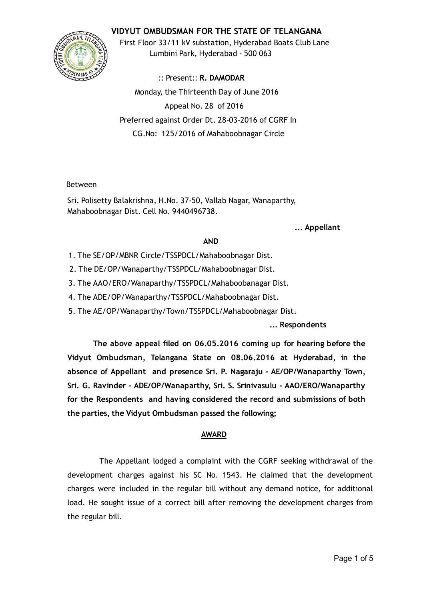## VIDYUT OMBUDSMAN FOR THE STATE OF TELANGANA



First Floor 33/11 kV substation, Hyderabad Boats Club Lane Lumbini Park, Hyderabad ‐ 500 063

:: Present:: R. DAMODAR Monday, the Thirteenth Day of June 2016 Appeal No. 28 of 2016 Preferred against Order Dt. 28‐03‐2016 of CGRF In CG.No: 125/2016 of Mahaboobnagar Circle

### Between

Sri. Polisetty Balakrishna, H.No. 37‐50, Vallab Nagar, Wanaparthy, Mahaboobnagar Dist. Cell No. 9440496738.

#### ... Appellant

### AND

- 1. The SE/OP/MBNR Circle/TSSPDCL/Mahaboobnagar Dist.
- 2. The DE/OP/Wanaparthy/TSSPDCL/Mahaboobnagar Dist.
- 3. The AAO/ERO/Wanaparthy/TSSPDCL/Mahaboobanagar Dist.
- 4. The ADE/OP/Wanaparthy/TSSPDCL/Mahaboobnagar Dist.
- 5. The AE/OP/Wanaparthy/Town/TSSPDCL/Mahaboobnagar Dist.

### ... Respondents

The above appeal filed on 06.05.2016 coming up for hearing before the Vidyut Ombudsman, Telangana State on 08.06.2016 at Hyderabad, in the absence of Appellant and presence Sri. P. Nagaraju ‐ AE/OP/Wanaparthy Town, Sri. G. Ravinder ‐ ADE/OP/Wanaparthy, Sri. S. Srinivasulu ‐ AAO/ERO/Wanaparthy for the Respondents and having considered the record and submissions of both the parties, the Vidyut Ombudsman passed the following;

### AWARD

The Appellant lodged a complaint with the CGRF seeking withdrawal of the development charges against his SC No. 1543. He claimed that the development charges were included in the regular bill without any demand notice, for additional load. He sought issue of a correct bill after removing the development charges from the regular bill.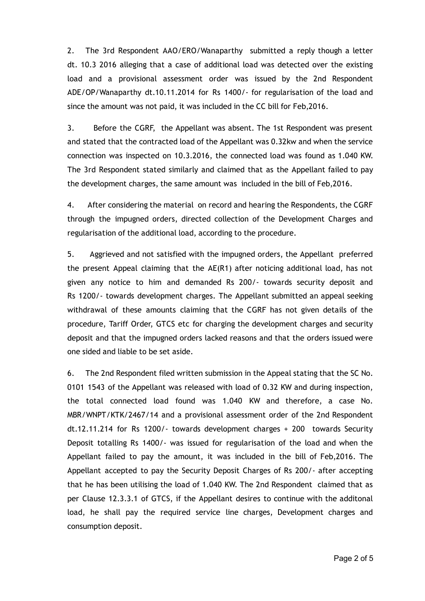2. The 3rd Respondent AAO/ERO/Wanaparthy submitted a reply though a letter dt. 10.3 2016 alleging that a case of additional load was detected over the existing load and a provisional assessment order was issued by the 2nd Respondent ADE/OP/Wanaparthy dt.10.11.2014 for Rs 1400/‐ for regularisation of the load and since the amount was not paid, it was included in the CC bill for Feb,2016.

3. Before the CGRF, the Appellant was absent. The 1st Respondent was present and stated that the contracted load of the Appellant was 0.32kw and when the service connection was inspected on 10.3.2016, the connected load was found as 1.040 KW. The 3rd Respondent stated similarly and claimed that as the Appellant failed to pay the development charges, the same amount was included in the bill of Feb,2016.

4. After considering the material on record and hearing the Respondents, the CGRF through the impugned orders, directed collection of the Development Charges and regularisation of the additional load, according to the procedure.

5. Aggrieved and not satisfied with the impugned orders, the Appellant preferred the present Appeal claiming that the AE(R1) after noticing additional load, has not given any notice to him and demanded Rs 200/‐ towards security deposit and Rs 1200/‐ towards development charges. The Appellant submitted an appeal seeking withdrawal of these amounts claiming that the CGRF has not given details of the procedure, Tariff Order, GTCS etc for charging the development charges and security deposit and that the impugned orders lacked reasons and that the orders issued were one sided and liable to be set aside.

6. The 2nd Respondent filed written submission in the Appeal stating that the SC No. 0101 1543 of the Appellant was released with load of 0.32 KW and during inspection, the total connected load found was 1.040 KW and therefore, a case No. MBR/WNPT/KTK/2467/14 and a provisional assessment order of the 2nd Respondent dt.12.11.214 for Rs 1200/‐ towards development charges + 200 towards Security Deposit totalling Rs 1400/- was issued for regularisation of the load and when the Appellant failed to pay the amount, it was included in the bill of Feb,2016. The Appellant accepted to pay the Security Deposit Charges of Rs 200/‐ after accepting that he has been utilising the load of 1.040 KW. The 2nd Respondent claimed that as per Clause 12.3.3.1 of GTCS, if the Appellant desires to continue with the additonal load, he shall pay the required service line charges, Development charges and consumption deposit.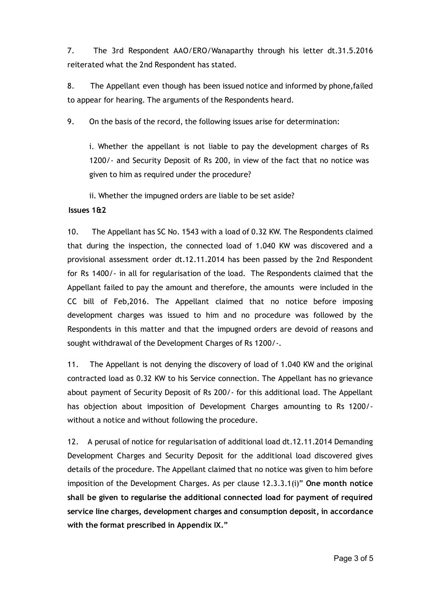7. The 3rd Respondent AAO/ERO/Wanaparthy through his letter dt.31.5.2016 reiterated what the 2nd Respondent has stated.

8. The Appellant even though has been issued notice and informed by phone,failed to appear for hearing. The arguments of the Respondents heard.

9. On the basis of the record, the following issues arise for determination:

i. Whether the appellant is not liable to pay the development charges of Rs 1200/ - and Security Deposit of Rs 200, in view of the fact that no notice was given to him as required under the procedure?

ii. Whether the impugned orders are liable to be set aside?

# Issues 1&2

10. The Appellant has SC No. 1543 with a load of 0.32 KW. The Respondents claimed that during the inspection, the connected load of 1.040 KW was discovered and a provisional assessment order dt.12.11.2014 has been passed by the 2nd Respondent for Rs 1400/‐ in all for regularisation of the load. The Respondents claimed that the Appellant failed to pay the amount and therefore, the amounts were included in the CC bill of Feb,2016. The Appellant claimed that no notice before imposing development charges was issued to him and no procedure was followed by the Respondents in this matter and that the impugned orders are devoid of reasons and sought withdrawal of the Development Charges of Rs 1200/‐.

11. The Appellant is not denying the discovery of load of 1.040 KW and the original contracted load as 0.32 KW to his Service connection. The Appellant has no grievance about payment of Security Deposit of Rs 200/‐ for this additional load. The Appellant has objection about imposition of Development Charges amounting to Rs 1200/without a notice and without following the procedure.

12. A perusal of notice for regularisation of additional load dt.12.11.2014 Demanding Development Charges and Security Deposit for the additional load discovered gives details of the procedure. The Appellant claimed that no notice was given to him before imposition of the Development Charges. As per clause 12.3.3.1(i)" One month notice shall be given to regularise the additional connected load for payment of required service line charges, development charges and consumption deposit, in accordance with the format prescribed in Appendix IX."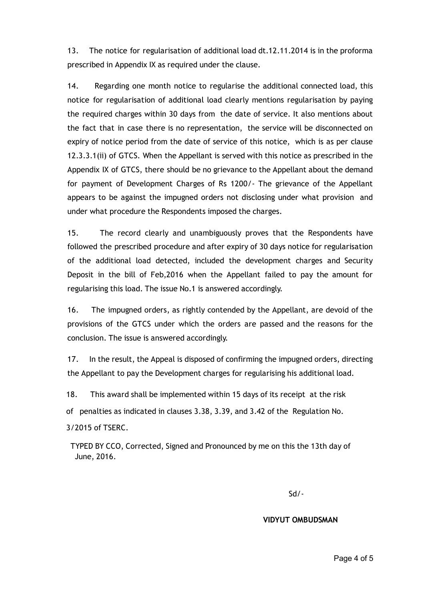13. The notice for regularisation of additional load dt.12.11.2014 is in the proforma prescribed in Appendix IX as required under the clause.

14. Regarding one month notice to regularise the additional connected load, this notice for regularisation of additional load clearly mentions regularisation by paying the required charges within 30 days from the date of service. It also mentions about the fact that in case there is no representation, the service will be disconnected on expiry of notice period from the date of service of this notice, which is as per clause 12.3.3.1(ii) of GTCS. When the Appellant is served with this notice as prescribed in the Appendix IX of GTCS, there should be no grievance to the Appellant about the demand for payment of Development Charges of Rs 1200/‐ The grievance of the Appellant appears to be against the impugned orders not disclosing under what provision and under what procedure the Respondents imposed the charges.

15. The record clearly and unambiguously proves that the Respondents have followed the prescribed procedure and after expiry of 30 days notice for regularisation of the additional load detected, included the development charges and Security Deposit in the bill of Feb,2016 when the Appellant failed to pay the amount for regularising this load. The issue No.1 is answered accordingly.

16. The impugned orders, as rightly contended by the Appellant, are devoid of the provisions of the GTCS under which the orders are passed and the reasons for the conclusion. The issue is answered accordingly.

17. In the result, the Appeal is disposed of confirming the impugned orders, directing the Appellant to pay the Development charges for regularising his additional load.

18. This award shall be implemented within 15 days of its receipt at the risk

of penalties as indicated in clauses 3.38, 3.39, and 3.42 of the Regulation No.

3/2015 of TSERC.

TYPED BY CCO, Corrected, Signed and Pronounced by me on this the 13th day of June, 2016.

Sd/‐

### VIDYUT OMBUDSMAN